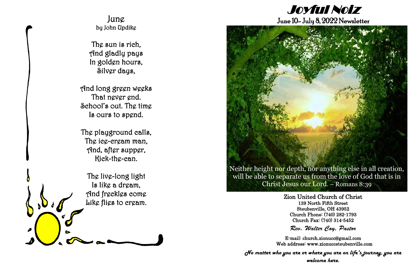Zion United Church of Christ 139 North Fifth Street Steubenville, OH 43952 Church Phone: (740) 282-1793 Church Fax: (740) 314-5452

Rev. Walter Coy, Pastor

E-mail: church.zionucc@gmail.com Web address: [www.zionuccsteubenville.com](http://www.zionuccsteubenville.com/)

*No matter who you are or where you are on life's journey, you are welcome here.*

Joyful Noiz

## June 10- July 8, 2022 Newsletter



will be able to separate us from the love of God that is in Christ Jesus our Lord. – Romans 8:39

# June by John Updike

The sun is rich, And gladly pays In golden hours, Silver days,

And long green weeks That never end. School's out. The time Is ours to spend.

The playground calls, The ice-cream man, And, after supper, Kick-the-can.

The live-long light Is like a dream, And freckles come Like flies to cream.